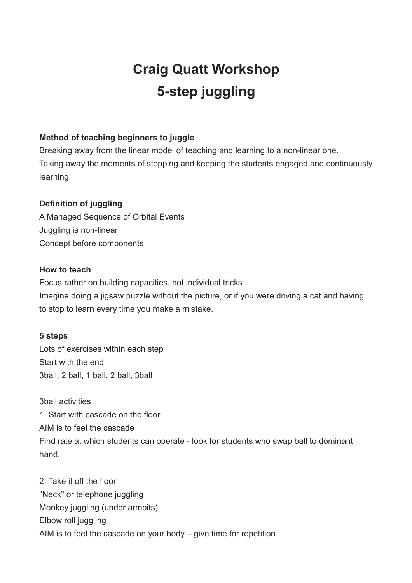# **Craig Quatt Workshop 5-step juggling**

# **Method of teaching beginners to juggle**

Breaking away from the linear model of teaching and learning to a non-linear one. Taking away the moments of stopping and keeping the students engaged and continuously learning.

# **Definition of juggling**

A Managed Sequence of Orbital Events Juggling is non-linear Concept before components

### **How to teach**

Focus rather on building capacities, not individual tricks Imagine doing a jigsaw puzzle without the picture, or if you were driving a cat and having to stop to learn every time you make a mistake.

### **5 steps**

Lots of exercises within each step Start with the end 3ball, 2 ball, 1 ball, 2 ball, 3ball

### 3ball activities

1. Start with cascade on the floor AIM is to feel the cascade Find rate at which students can operate - look for students who swap ball to dominant hand.

2. Take it off the floor "Neck" or telephone juggling Monkey juggling (under armpits) Elbow roll juggling AIM is to feel the cascade on your body – give time for repetition